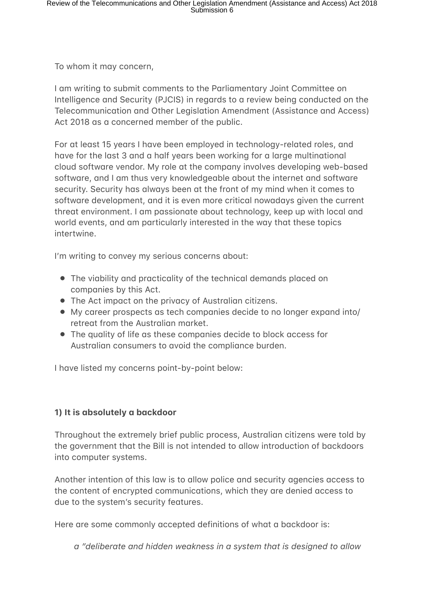To whom it may concern,

I am writing to submit comments to the Parliamentary Joint Committee on Intelligence and Security (PJCIS) in regards to a review being conducted on the Telecommunication and Other Legislation Amendment (Assistance and Access) Act 2018 as a concerned member of the public.

For at least 15 years I have been employed in technology-related roles, and have for the last 3 and a half years been working for a large multinational cloud software vendor. My role at the company involves developing web-based software, and I am thus very knowledgeable about the internet and software security. Security has always been at the front of my mind when it comes to software development, and it is even more critical nowadays given the current threat environment. I am passionate about technology, keep up with local and world events, and am particularly interested in the way that these topics intertwine.

I'm writing to convey my serious concerns about:

- The viability and practicality of the technical demands placed on companies by this Act.
- The Act impact on the privacy of Australian citizens.
- $\bullet$  My career prospects as tech companies decide to no longer expand into/ retreat from the Australian market.
- The quality of life as these companies decide to block access for Australian consumers to avoid the compliance burden.

I have listed my concerns point-by-point below:

## **1) It is absolutely a backdoor**

Throughout the extremely brief public process, Australian citizens were told by the government that the Bill is not intended to allow introduction of backdoors into computer systems.

Another intention of this law is to allow police and security agencies access to the content of encrypted communications, which they are denied access to due to the system's security features.

Here are some commonly accepted definitions of what a backdoor is:

*a "deliberate and hidden weakness in a system that is designed to allow*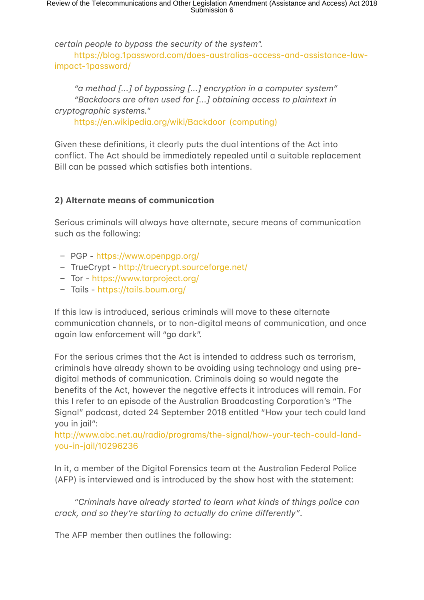*certain people to bypass the security of the system".* https://blog.1password.com/does-australias-access-and-assistance-lawimpact-1password/

"a method [...] of bypassing [...] encryption in a computer system" *"Backdoors are often used for [...] obtaining access to plaintext in cryptographic systems."* 

https://en.wikipedia.org/wiki/Backdoor (computing)

Given these definitions, it clearly puts the dual intentions of the Act into conflict. The Act should be immediately repealed until a suitable replacement Bill can be passed which satisfies both intentions.

## **2) Alternate means of communication**

Serious criminals will always have alternate, secure means of communication such as the following:

- PGP https://www.openpgp.org/
- TrueCrypt http://truecrypt.sourceforge.net/
- Tor https://www.torproject.org/
- Tails https://tails.boum.org/

If this law is introduced, serious criminals will move to these alternate communication channels, or to non-digital means of communication, and once again law enforcement will "go dark".

For the serious crimes that the Act is intended to address such as terrorism, criminals have already shown to be avoiding using technology and using predigital methods of communication. Criminals doing so would negate the benefits of the Act, however the negative effects it introduces will remain. For this I refer to an episode of the Australian Broadcasting Corporation's "The Signal" podcast, dated 24 September 2018 entitled "How your tech could land you in jail":

http://www.abc.net.au/radio/programs/the-signal/how-your-tech-could-landyou-in-jail/10296236

In it, a member of the Digital Forensics team at the Australian Federal Police (AFP) is interviewed and is introduced by the show host with the statement:

"Criminals have already started to learn what kinds of things police can *crack, and so they're starting to actually do crime differently".* 

The AFP member then outlines the following: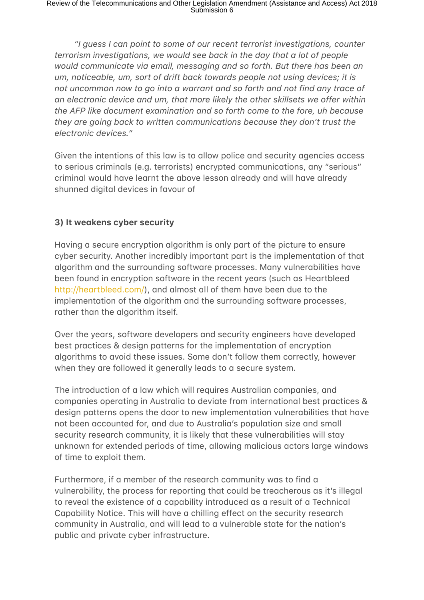*"I guess I can point to some of our recent terrorist investigations, counter terrorism investigations, we would see back in the day that a lot of people would communicate via email, messaging and so forth. But there has been an um, noticeable, um, sort of drift back towards people not using devices; it is not uncommon now to go into a warrant and so forth and not find any trace of* an electronic device and um, that more likely the other skillsets we offer within *the AFP like document examination and so forth come to the fore, uh because they are going back to written communications because they don't trust the electronic devices."*

Given the intentions of this law is to allow police and security agencies access to serious criminals (e.g. terrorists) encrypted communications, any "serious" criminal would have learnt the above lesson already and will have already shunned digital devices in favour of

### **3) It weakens cyber security**

Having a secure encryption algorithm is only part of the picture to ensure cyber security. Another incredibly important part is the implementation of that algorithm and the surrounding software processes. Many vulnerabilities have been found in encryption software in the recent years (such as Heartbleed http://heartbleed.com/), and almost all of them have been due to the implementation of the algorithm and the surrounding software processes, rather than the algorithm itself.

Over the years, software developers and security engineers have developed best practices & design patterns for the implementation of encryption algorithms to avoid these issues. Some don't follow them correctly, however when they are followed it generally leads to a secure system.

The introduction of a law which will requires Australian companies, and companies operating in Australia to deviate from international best practices & design patterns opens the door to new implementation vulnerabilities that have not been accounted for, and due to Australia's population size and small security research community, it is likely that these vulnerabilities will stay unknown for extended periods of time, allowing malicious actors large windows of time to exploit them.

Furthermore, if a member of the research community was to find a vulnerability, the process for reporting that could be treacherous as it's illegal to reveal the existence of a capability introduced as a result of a Technical Capability Notice. This will have a chilling effect on the security research community in Australia, and will lead to a vulnerable state for the nation's public and private cyber infrastructure.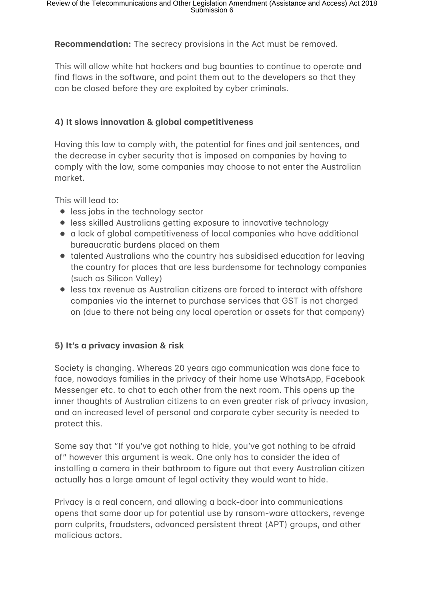**Recommendation:** The secrecy provisions in the Act must be removed.

This will allow white hat hackers and bug bounties to continue to operate and find flaws in the software, and point them out to the developers so that they can be closed before they are exploited by cyber criminals.

#### **4) It slows innovation & global competitiveness**

Having this law to comply with, the potential for fines and jail sentences, and the decrease in cyber security that is imposed on companies by having to comply with the law, some companies may choose to not enter the Australian market.

This will lead to:

- less jobs in the technology sector
- **•** less skilled Australians getting exposure to innovative technology
- $\bullet$  a lack of global competitiveness of local companies who have additional bureaucratic burdens placed on them
- $\bullet$  talented Australians who the country has subsidised education for leaving the country for places that are less burdensome for technology companies (such as Silicon Valley)
- $\bullet\,$  less tax revenue as Australian citizens are forced to interact with offshore companies via the internet to purchase services that GST is not charaed on (due to there not being any local operation or assets for that company)

## **5) It's a privacy invasion & risk**

Society is changing. Whereas 20 years ago communication was done face to face, nowadays families in the privacy of their home use WhatsApp, Facebook Messenger etc. to chat to each other from the next room. This opens up the inner thoughts of Australian citizens to an even greater risk of privacy invasion, and an increased level of personal and corporate cyber security is needed to protect this.

Some say that "If you've got nothing to hide, you've got nothing to be afraid of" however this argument is weak. One only has to consider the idea of installing a camera in their bathroom to figure out that every Australian citizen actually has a large amount of legal activity they would want to hide.

Privacy is a real concern, and allowing a back-door into communications opens that same door up for potential use by ransom-ware attackers, revenge porn culprits, fraudsters, advanced persistent threat (APT) groups, and other malicious actors.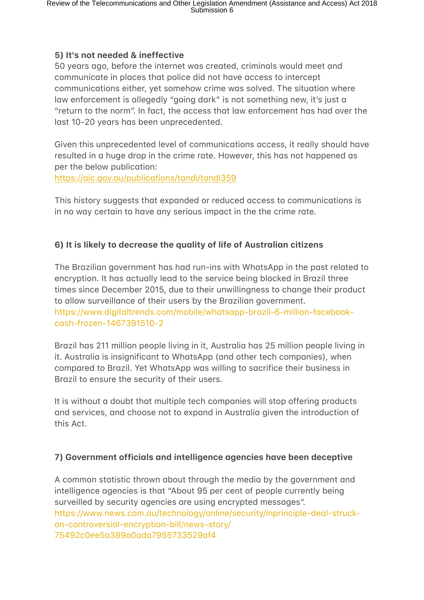### **5) It's not needed & ineffective**

50 years ago, before the internet was created, criminals would meet and communicate in places that police did not have access to intercept communications either, yet somehow crime was solved. The situation where law enforcement is allegedly "going dark" is not something new, it's just a "return to the norm". In fact, the access that law enforcement has had over the last 10-20 years has been unprecedented.

Given this unprecedented level of communications access, it really should have resulted in a huge drop in the crime rate. However, this has not happened as per the below publication:

https://aic.gov.au/publications/tandi/tandi359

This history suggests that expanded or reduced access to communications is in no way certain to have any serious impact in the the crime rate.

## **6) It is likely to decrease the quality of life of Australian citizens**

The Brazilian government has had run-ins with WhatsApp in the past related to encryption. It has actually lead to the service being blocked in Brazil three times since December 2015, due to their unwillingness to change their product to allow surveillance of their users by the Brazilian government. https://www.digitaltrends.com/mobile/whatsapp-brazil-6-million-facebookcash-frozen-1467391510-2

Brazil has 211 million people living in it, Australia has 25 million people living in it. Australia is insignificant to WhatsApp (and other tech companies), when compared to Brazil. Yet WhatsApp was willing to sacrifice their business in Brazil to ensure the security of their users.

It is without a doubt that multiple tech companies will stop offering products and services, and choose not to expand in Australia given the introduction of this Act.

## **7) Government officials and intelligence gaencies have been deceptive**

A common statistic thrown about through the media by the government and intelligence agencies is that "About 95 per cent of people currently being surveilled by security agencies are using encrypted messages". https://www.news.com.au/technology/online/security/inprinciple-deal-struckon-controversial-encryption-bill/news-story/ 75492c0ee5a389a0ada7955733529af4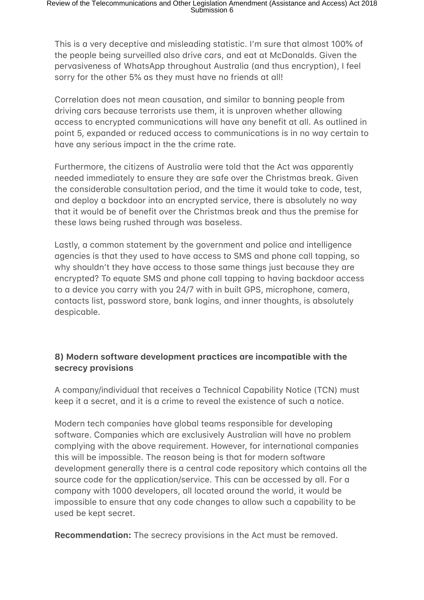This is a very deceptive and misleading statistic. I'm sure that almost 100% of the people being surveilled also drive cars, and eat at McDonalds. Given the pervasiveness of WhatsApp throughout Australia (and thus encryption), I feel sorry for the other 5% as they must have no friends at all!

Correlation does not mean causation, and similar to banning people from driving cars because terrorists use them, it is unproven whether allowing access to encrypted communications will have any benefit at all. As outlined in point 5, expanded or reduced access to communications is in no way certain to have any serious impact in the the crime rate.

Furthermore, the citizens of Australia were told that the Act was apparently needed immediately to ensure they are safe over the Christmas break. Given the considerable consultation period, and the time it would take to code, test, and deploy a backdoor into an encrypted service, there is absolutely no way that it would be of benefit over the Christmas break and thus the premise for these laws being rushed through was baseless.

Lastly, a common statement by the government and police and intelligence agencies is that they used to have access to SMS and phone call tapping, so why shouldn't they have access to those same things just because they are encrypted? To equate SMS and phone call tapping to having backdoor access to a device you carry with you 24/7 with in built GPS, microphone, camera, contacts list, password store, bank logins, and inner thoughts, is absolutely despicable.

## 8) Modern software development practices are incompatible with the **secrecy provisions**

A company/individual that receives a Technical Capability Notice (TCN) must keep it a secret, and it is a crime to reveal the existence of such a notice.

Modern tech companies have global teams responsible for developing software. Companies which are exclusively Australian will have no problem complying with the above requirement. However, for international companies this will be impossible. The reason being is that for modern software development generally there is a central code repository which contains all the source code for the application/service. This can be accessed by all. For a company with 1000 developers, all located around the world, it would be impossible to ensure that any code changes to allow such a capability to be used be kept secret.

**Recommendation:** The secrecy provisions in the Act must be removed.